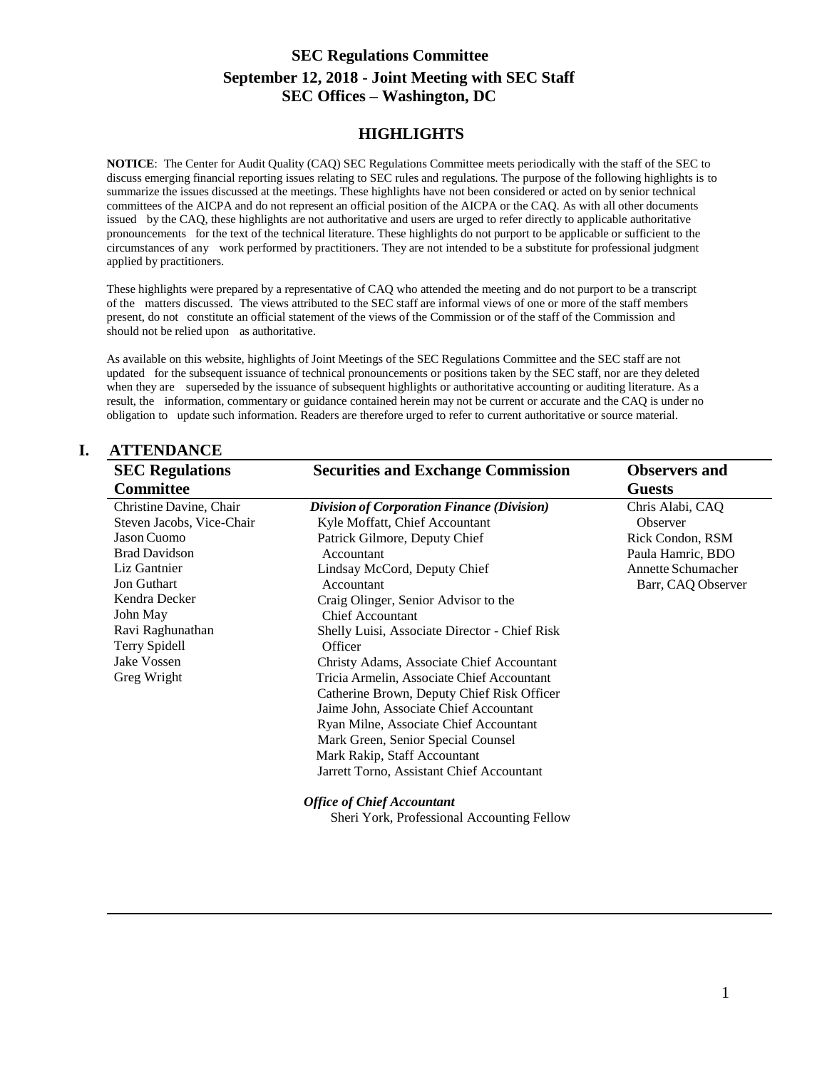# **SEC Regulations Committee September 12, 2018 - Joint Meeting with SEC Staff SEC Offices – Washington, DC**

#### **HIGHLIGHTS**

**NOTICE**: The Center for Audit Quality (CAQ) SEC Regulations Committee meets periodically with the staff of the SEC to discuss emerging financial reporting issues relating to SEC rules and regulations. The purpose of the following highlights is to summarize the issues discussed at the meetings. These highlights have not been considered or acted on by senior technical committees of the AICPA and do not represent an official position of the AICPA or the CAQ. As with all other documents issued by the CAQ, these highlights are not authoritative and users are urged to refer directly to applicable authoritative pronouncements for the text of the technical literature. These highlights do not purport to be applicable or sufficient to the circumstances of any work performed by practitioners. They are not intended to be a substitute for professional judgment applied by practitioners.

These highlights were prepared by a representative of CAQ who attended the meeting and do not purport to be a transcript of the matters discussed. The views attributed to the SEC staff are informal views of one or more of the staff members present, do not constitute an official statement of the views of the Commission or of the staff of the Commission and should not be relied upon as authoritative.

As available on this website, highlights of Joint Meetings of the SEC Regulations Committee and the SEC staff are not updated for the subsequent issuance of technical pronouncements or positions taken by the SEC staff, nor are they deleted when they are superseded by the issuance of subsequent highlights or authoritative accounting or auditing literature. As a result, the information, commentary or guidance contained herein may not be current or accurate and the CAQ is under no obligation to update such information. Readers are therefore urged to refer to current authoritative or source material.

| <b>SEC Regulations</b><br><b>Committee</b> | <b>Securities and Exchange Commission</b>     | <b>Observers and</b><br><b>Guests</b> |
|--------------------------------------------|-----------------------------------------------|---------------------------------------|
|                                            |                                               |                                       |
| Steven Jacobs, Vice-Chair                  | Kyle Moffatt, Chief Accountant                | Observer                              |
| Jason Cuomo                                | Patrick Gilmore, Deputy Chief                 | Rick Condon, RSM                      |
| <b>Brad Davidson</b>                       | Accountant                                    | Paula Hamric, BDO                     |
| Liz Gantnier                               | Lindsay McCord, Deputy Chief                  | <b>Annette Schumacher</b>             |
| <b>Jon Guthart</b>                         | Accountant                                    | Barr, CAQ Observer                    |
| Kendra Decker                              | Craig Olinger, Senior Advisor to the          |                                       |
| John May                                   | <b>Chief Accountant</b>                       |                                       |
| Ravi Raghunathan                           | Shelly Luisi, Associate Director - Chief Risk |                                       |
| Terry Spidell                              | Officer                                       |                                       |
| Jake Vossen                                | Christy Adams, Associate Chief Accountant     |                                       |
| Greg Wright                                | Tricia Armelin, Associate Chief Accountant    |                                       |
|                                            | Catherine Brown, Deputy Chief Risk Officer    |                                       |
|                                            | Jaime John, Associate Chief Accountant        |                                       |
|                                            | Ryan Milne, Associate Chief Accountant        |                                       |
|                                            | Mark Green, Senior Special Counsel            |                                       |
|                                            | Mark Rakip, Staff Accountant                  |                                       |
|                                            | Jarrett Torno, Assistant Chief Accountant     |                                       |

1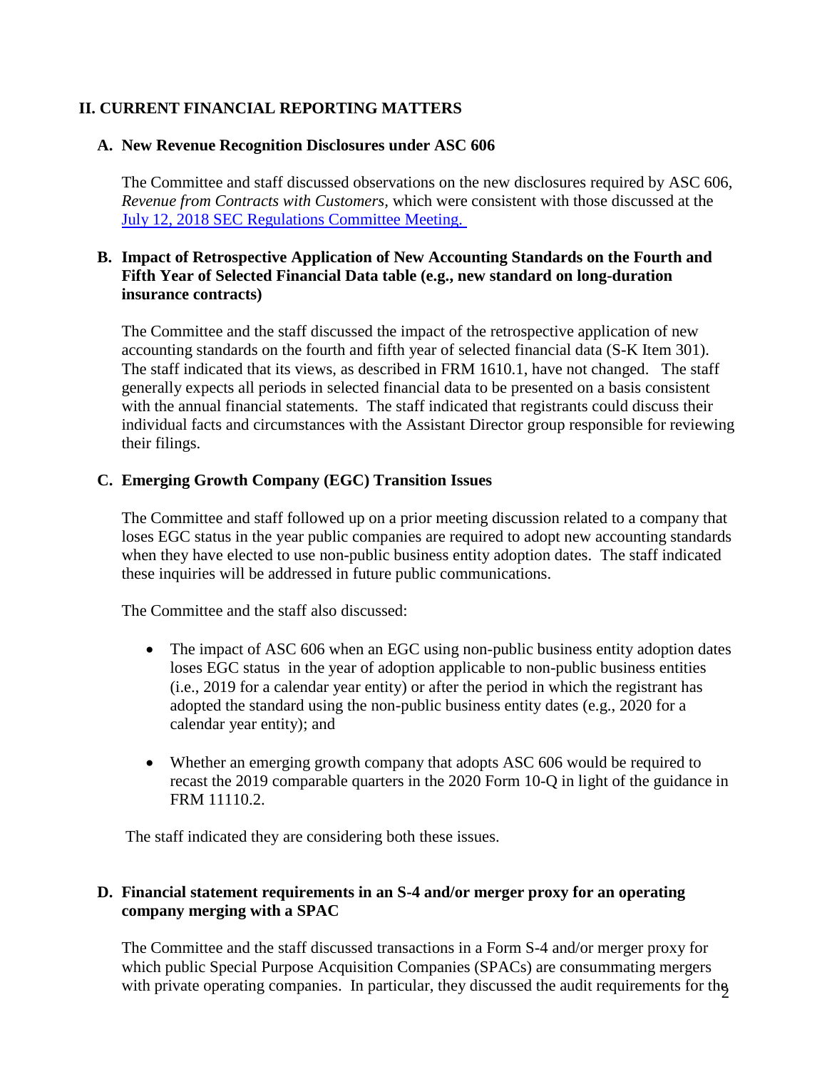# **II. CURRENT FINANCIAL REPORTING MATTERS**

#### **A. New Revenue Recognition Disclosures under ASC 606**

The Committee and staff discussed observations on the new disclosures required by ASC 606, *Revenue from Contracts with Customers,* which were consistent with those discussed at the [July 12, 2018 SEC Regulations Committee Meeting.](https://www.thecaq.org/sec-regulations-committee-highlights-july-12-2018) 

## **B. Impact of Retrospective Application of New Accounting Standards on the Fourth and Fifth Year of Selected Financial Data table (e.g., new standard on long-duration insurance contracts)**

The Committee and the staff discussed the impact of the retrospective application of new accounting standards on the fourth and fifth year of selected financial data (S-K Item 301). The staff indicated that its views, as described in FRM 1610.1, have not changed. The staff generally expects all periods in selected financial data to be presented on a basis consistent with the annual financial statements. The staff indicated that registrants could discuss their individual facts and circumstances with the Assistant Director group responsible for reviewing their filings.

## **C. Emerging Growth Company (EGC) Transition Issues**

The Committee and staff followed up on a prior meeting discussion related to a company that loses EGC status in the year public companies are required to adopt new accounting standards when they have elected to use non-public business entity adoption dates. The staff indicated these inquiries will be addressed in future public communications.

The Committee and the staff also discussed:

- The impact of ASC 606 when an EGC using non-public business entity adoption dates loses EGC status in the year of adoption applicable to non-public business entities (i.e., 2019 for a calendar year entity) or after the period in which the registrant has adopted the standard using the non-public business entity dates (e.g., 2020 for a calendar year entity); and
- Whether an emerging growth company that adopts ASC 606 would be required to recast the 2019 comparable quarters in the 2020 Form 10-Q in light of the guidance in FRM 11110.2.

The staff indicated they are considering both these issues.

#### **D. Financial statement requirements in an S-4 and/or merger proxy for an operating company merging with a SPAC**

with private operating companies. In particular, they discussed the audit requirements for the The Committee and the staff discussed transactions in a Form S-4 and/or merger proxy for which public Special Purpose Acquisition Companies (SPACs) are consummating mergers